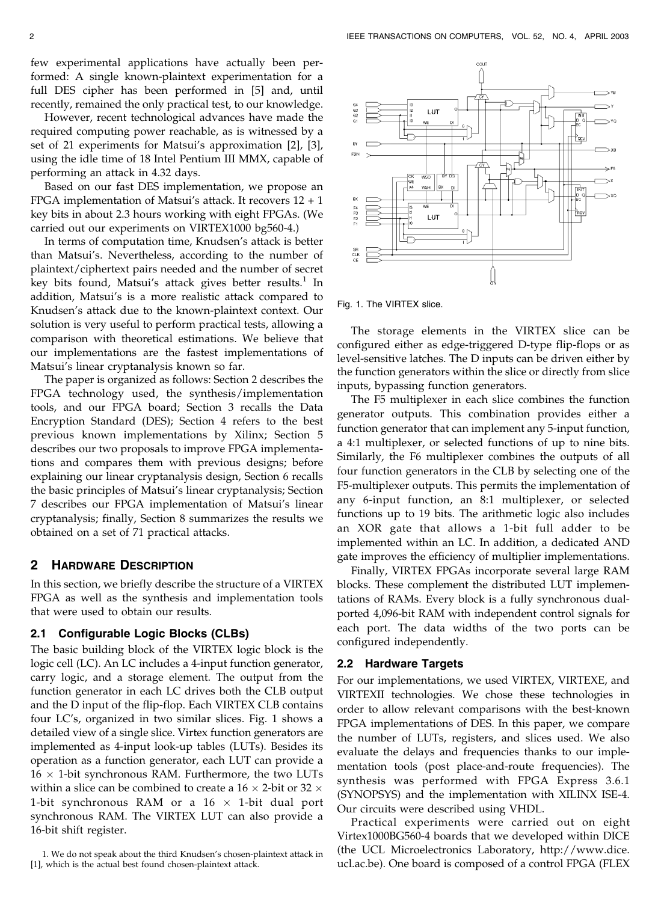few experimental applications have actually been performed: A single known-plaintext experimentation for a full DES cipher has been performed in [5] and, until recently, remained the only practical test, to our knowledge.

However, recent technological advances have made the required computing power reachable, as is witnessed by a set of 21 experiments for Matsui's approximation [2], [3], using the idle time of 18 Intel Pentium III MMX, capable of performing an attack in 4.32 days.

Based on our fast DES implementation, we propose an FPGA implementation of Matsui's attack. It recovers 12 + 1 key bits in about 2.3 hours working with eight FPGAs. (We carried out our experiments on VIRTEX1000 bg560-4.)

In terms of computation time, Knudsen's attack is better than Matsui's. Nevertheless, according to the number of plaintext/ciphertext pairs needed and the number of secret key bits found, Matsui's attack gives better results.<sup>1</sup> In addition, Matsui's is a more realistic attack compared to Knudsen's attack due to the known-plaintext context. Our solution is very useful to perform practical tests, allowing a comparison with theoretical estimations. We believe that our implementations are the fastest implementations of Matsui's linear cryptanalysis known so far.

The paper is organized as follows: Section 2 describes the FPGA technology used, the synthesis/implementation tools, and our FPGA board; Section 3 recalls the Data Encryption Standard (DES); Section 4 refers to the best previous known implementations by Xilinx; Section 5 describes our two proposals to improve FPGA implementations and compares them with previous designs; before explaining our linear cryptanalysis design, Section 6 recalls the basic principles of Matsui's linear cryptanalysis; Section 7 describes our FPGA implementation of Matsui's linear cryptanalysis; finally, Section 8 summarizes the results we obtained on a set of 71 practical attacks.

## 2 HARDWARE DESCRIPTION

In this section, we briefly describe the structure of a VIRTEX FPGA as well as the synthesis and implementation tools that were used to obtain our results.

### 2.1 Configurable Logic Blocks (CLBs)

The basic building block of the VIRTEX logic block is the logic cell (LC). An LC includes a 4-input function generator, carry logic, and a storage element. The output from the function generator in each LC drives both the CLB output and the D input of the flip-flop. Each VIRTEX CLB contains four LC's, organized in two similar slices. Fig. 1 shows a detailed view of a single slice. Virtex function generators are implemented as 4-input look-up tables (LUTs). Besides its operation as a function generator, each LUT can provide a  $16 \times 1$ -bit synchronous RAM. Furthermore, the two LUTs within a slice can be combined to create a 16  $\times$  2-bit or 32  $\times$ 1-bit synchronous RAM or a 16  $\times$  1-bit dual port synchronous RAM. The VIRTEX LUT can also provide a 16-bit shift register.

1. We do not speak about the third Knudsen's chosen-plaintext attack in [1], which is the actual best found chosen-plaintext attack.



Fig. 1. The VIRTEX slice.

The storage elements in the VIRTEX slice can be configured either as edge-triggered D-type flip-flops or as level-sensitive latches. The D inputs can be driven either by the function generators within the slice or directly from slice inputs, bypassing function generators.

The F5 multiplexer in each slice combines the function generator outputs. This combination provides either a function generator that can implement any 5-input function, a 4:1 multiplexer, or selected functions of up to nine bits. Similarly, the F6 multiplexer combines the outputs of all four function generators in the CLB by selecting one of the F5-multiplexer outputs. This permits the implementation of any 6-input function, an 8:1 multiplexer, or selected functions up to 19 bits. The arithmetic logic also includes an XOR gate that allows a 1-bit full adder to be implemented within an LC. In addition, a dedicated AND gate improves the efficiency of multiplier implementations.

Finally, VIRTEX FPGAs incorporate several large RAM blocks. These complement the distributed LUT implementations of RAMs. Every block is a fully synchronous dualported 4,096-bit RAM with independent control signals for each port. The data widths of the two ports can be configured independently.

#### 2.2 Hardware Targets

For our implementations, we used VIRTEX, VIRTEXE, and VIRTEXII technologies. We chose these technologies in order to allow relevant comparisons with the best-known FPGA implementations of DES. In this paper, we compare the number of LUTs, registers, and slices used. We also evaluate the delays and frequencies thanks to our implementation tools (post place-and-route frequencies). The synthesis was performed with FPGA Express 3.6.1 (SYNOPSYS) and the implementation with XILINX ISE-4. Our circuits were described using VHDL.

Practical experiments were carried out on eight Virtex1000BG560-4 boards that we developed within DICE (the UCL Microelectronics Laboratory, http://www.dice. ucl.ac.be). One board is composed of a control FPGA (FLEX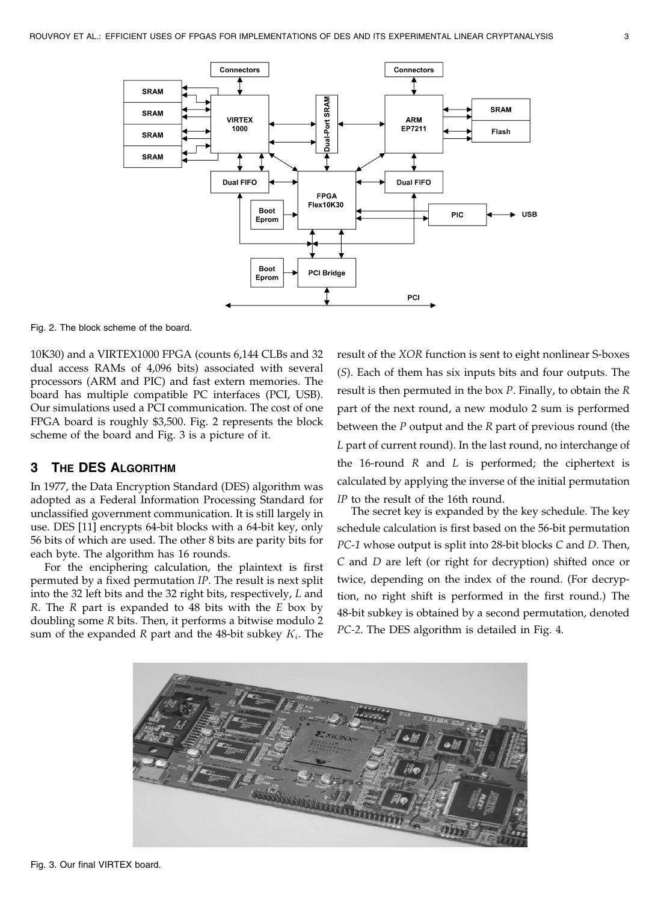

Fig. 2. The block scheme of the board.

10K30) and a VIRTEX1000 FPGA (counts 6,144 CLBs and 32 dual access RAMs of 4,096 bits) associated with several processors (ARM and PIC) and fast extern memories. The board has multiple compatible PC interfaces (PCI, USB). Our simulations used a PCI communication. The cost of one FPGA board is roughly \$3,500. Fig. 2 represents the block scheme of the board and Fig. 3 is a picture of it.

# 3 THE DES ALGORITHM

In 1977, the Data Encryption Standard (DES) algorithm was adopted as a Federal Information Processing Standard for unclassified government communication. It is still largely in use. DES [11] encrypts 64-bit blocks with a 64-bit key, only 56 bits of which are used. The other 8 bits are parity bits for each byte. The algorithm has 16 rounds.

For the enciphering calculation, the plaintext is first permuted by a fixed permutation IP. The result is next split into the 32 left bits and the 32 right bits, respectively, L and  $R$ . The  $R$  part is expanded to 48 bits with the  $E$  box by doubling some R bits. Then, it performs a bitwise modulo 2 sum of the expanded R part and the 48-bit subkey  $K_i$ . The result of the XOR function is sent to eight nonlinear S-boxes (S). Each of them has six inputs bits and four outputs. The result is then permuted in the box P. Finally, to obtain the R part of the next round, a new modulo 2 sum is performed between the  $P$  output and the  $R$  part of previous round (the L part of current round). In the last round, no interchange of the 16-round  $R$  and  $L$  is performed; the ciphertext is calculated by applying the inverse of the initial permutation IP to the result of the 16th round.

The secret key is expanded by the key schedule. The key schedule calculation is first based on the 56-bit permutation PC-1 whose output is split into 28-bit blocks C and D. Then, C and D are left (or right for decryption) shifted once or twice, depending on the index of the round. (For decryption, no right shift is performed in the first round.) The 48-bit subkey is obtained by a second permutation, denoted PC-2. The DES algorithm is detailed in Fig. 4.

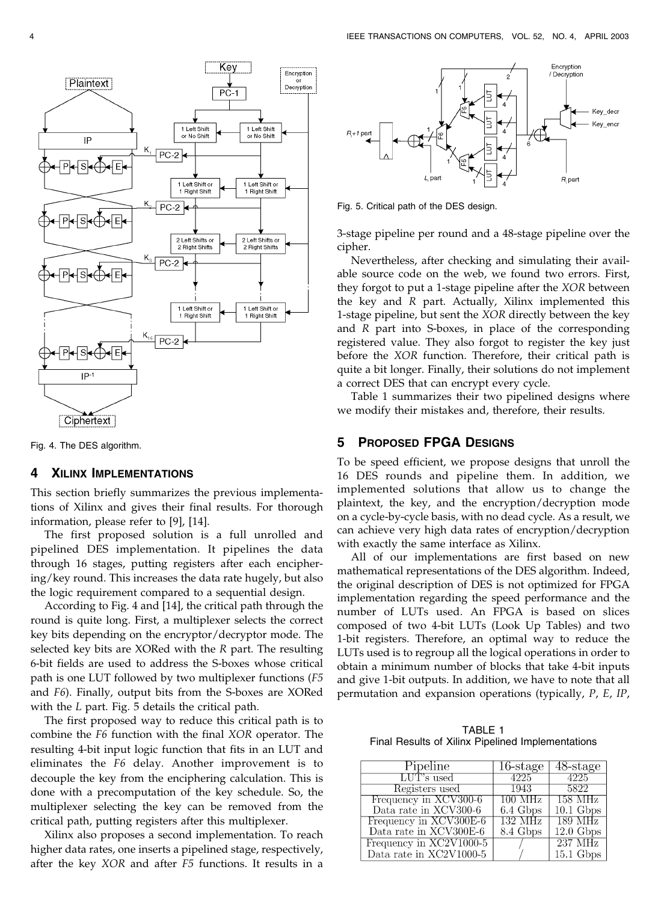

Fig. 4. The DES algorithm.

## **4 XILINX IMPLEMENTATIONS**

This section briefly summarizes the previous implementations of Xilinx and gives their final results. For thorough information, please refer to [9], [14].

The first proposed solution is a full unrolled and pipelined DES implementation. It pipelines the data through 16 stages, putting registers after each enciphering/key round. This increases the data rate hugely, but also the logic requirement compared to a sequential design.

According to Fig. 4 and [14], the critical path through the round is quite long. First, a multiplexer selects the correct key bits depending on the encryptor/decryptor mode. The selected key bits are XORed with the R part. The resulting 6-bit fields are used to address the S-boxes whose critical path is one LUT followed by two multiplexer functions (F5 and F6). Finally, output bits from the S-boxes are XORed with the L part. Fig. 5 details the critical path.

The first proposed way to reduce this critical path is to combine the F6 function with the final XOR operator. The resulting 4-bit input logic function that fits in an LUT and eliminates the F6 delay. Another improvement is to decouple the key from the enciphering calculation. This is done with a precomputation of the key schedule. So, the multiplexer selecting the key can be removed from the critical path, putting registers after this multiplexer.

Xilinx also proposes a second implementation. To reach higher data rates, one inserts a pipelined stage, respectively, after the key XOR and after F5 functions. It results in a



Fig. 5. Critical path of the DES design.

3-stage pipeline per round and a 48-stage pipeline over the cipher.

Nevertheless, after checking and simulating their available source code on the web, we found two errors. First, they forgot to put a 1-stage pipeline after the XOR between the key and R part. Actually, Xilinx implemented this 1-stage pipeline, but sent the XOR directly between the key and R part into S-boxes, in place of the corresponding registered value. They also forgot to register the key just before the XOR function. Therefore, their critical path is quite a bit longer. Finally, their solutions do not implement a correct DES that can encrypt every cycle.

Table 1 summarizes their two pipelined designs where we modify their mistakes and, therefore, their results.

## 5 PROPOSED FPGA DESIGNS

To be speed efficient, we propose designs that unroll the 16 DES rounds and pipeline them. In addition, we implemented solutions that allow us to change the plaintext, the key, and the encryption/decryption mode on a cycle-by-cycle basis, with no dead cycle. As a result, we can achieve very high data rates of encryption/decryption with exactly the same interface as Xilinx.

All of our implementations are first based on new mathematical representations of the DES algorithm. Indeed, the original description of DES is not optimized for FPGA implementation regarding the speed performance and the number of LUTs used. An FPGA is based on slices composed of two 4-bit LUTs (Look Up Tables) and two 1-bit registers. Therefore, an optimal way to reduce the LUTs used is to regroup all the logical operations in order to obtain a minimum number of blocks that take 4-bit inputs and give 1-bit outputs. In addition, we have to note that all permutation and expansion operations (typically, P, E, IP,

TABLE 1 Final Results of Xilinx Pipelined Implementations

| Pipeline                | $\overline{16\text{-} \text{stage}}$ | 48-stage            |
|-------------------------|--------------------------------------|---------------------|
| LUT's used              | 4225                                 | 4225                |
| Registers used          | 1943                                 | 5822                |
| Frequency in XCV300-6   | 100 MHz                              | 158 MHz             |
| Data rate in XCV300-6   | 6.4 Gbps                             | $10.1 \text{ Gbps}$ |
| Frequency in XCV300E-6  | 132 MHz                              | 189 MHz             |
| Data rate in XCV300E-6  | 8.4 Gbps                             | $12.0 \text{ Gbps}$ |
| Frequency in XC2V1000-5 |                                      | $237 \text{ MHz}$   |
| Data rate in XC2V1000-5 |                                      | $15.1 \text{ Gbps}$ |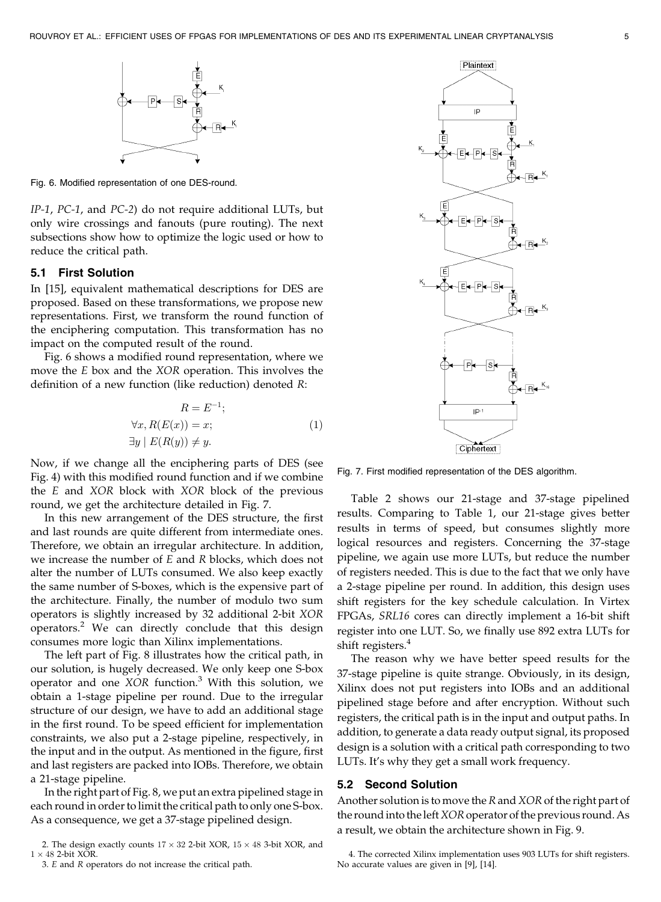

Fig. 6. Modified representation of one DES-round.

IP-1, PC-1, and PC-2) do not require additional LUTs, but only wire crossings and fanouts (pure routing). The next subsections show how to optimize the logic used or how to reduce the critical path.

#### 5.1 First Solution

In [15], equivalent mathematical descriptions for DES are proposed. Based on these transformations, we propose new representations. First, we transform the round function of the enciphering computation. This transformation has no impact on the computed result of the round.

Fig. 6 shows a modified round representation, where we move the E box and the XOR operation. This involves the definition of a new function (like reduction) denoted R:

$$
R = E^{-1};
$$
  
\n
$$
\forall x, R(E(x)) = x;
$$
  
\n
$$
\exists y \mid E(R(y)) \neq y.
$$
\n(1)

Now, if we change all the enciphering parts of DES (see Fig. 4) with this modified round function and if we combine the E and XOR block with XOR block of the previous round, we get the architecture detailed in Fig. 7.

In this new arrangement of the DES structure, the first and last rounds are quite different from intermediate ones. Therefore, we obtain an irregular architecture. In addition, we increase the number of  $E$  and  $R$  blocks, which does not alter the number of LUTs consumed. We also keep exactly the same number of S-boxes, which is the expensive part of the architecture. Finally, the number of modulo two sum operators is slightly increased by 32 additional 2-bit XOR operators.<sup>2</sup> We can directly conclude that this design consumes more logic than Xilinx implementations.

The left part of Fig. 8 illustrates how the critical path, in our solution, is hugely decreased. We only keep one S-box operator and one  $XOR$  function.<sup>3</sup> With this solution, we obtain a 1-stage pipeline per round. Due to the irregular structure of our design, we have to add an additional stage in the first round. To be speed efficient for implementation constraints, we also put a 2-stage pipeline, respectively, in the input and in the output. As mentioned in the figure, first and last registers are packed into IOBs. Therefore, we obtain a 21-stage pipeline.

In the right part of Fig. 8, we put an extra pipelined stage in each round in order to limit the critical path to only one S-box. As a consequence, we get a 37-stage pipelined design.



Fig. 7. First modified representation of the DES algorithm.

Table 2 shows our 21-stage and 37-stage pipelined results. Comparing to Table 1, our 21-stage gives better results in terms of speed, but consumes slightly more logical resources and registers. Concerning the 37-stage pipeline, we again use more LUTs, but reduce the number of registers needed. This is due to the fact that we only have a 2-stage pipeline per round. In addition, this design uses shift registers for the key schedule calculation. In Virtex FPGAs, SRL16 cores can directly implement a 16-bit shift register into one LUT. So, we finally use 892 extra LUTs for shift registers.<sup>4</sup>

The reason why we have better speed results for the 37-stage pipeline is quite strange. Obviously, in its design, Xilinx does not put registers into IOBs and an additional pipelined stage before and after encryption. Without such registers, the critical path is in the input and output paths. In addition, to generate a data ready output signal, its proposed design is a solution with a critical path corresponding to two LUTs. It's why they get a small work frequency.

#### 5.2 Second Solution

Another solution is to move the R and XOR of the right part of the round into the left XOR operator of the previous round. As a result, we obtain the architecture shown in Fig. 9.

<sup>2.</sup> The design exactly counts  $17 \times 32$  2-bit XOR,  $15 \times 48$  3-bit XOR, and  $1 \times 48$  2-bit XOR.

<sup>3.</sup> E and R operators do not increase the critical path.

<sup>4.</sup> The corrected Xilinx implementation uses 903 LUTs for shift registers. No accurate values are given in [9], [14].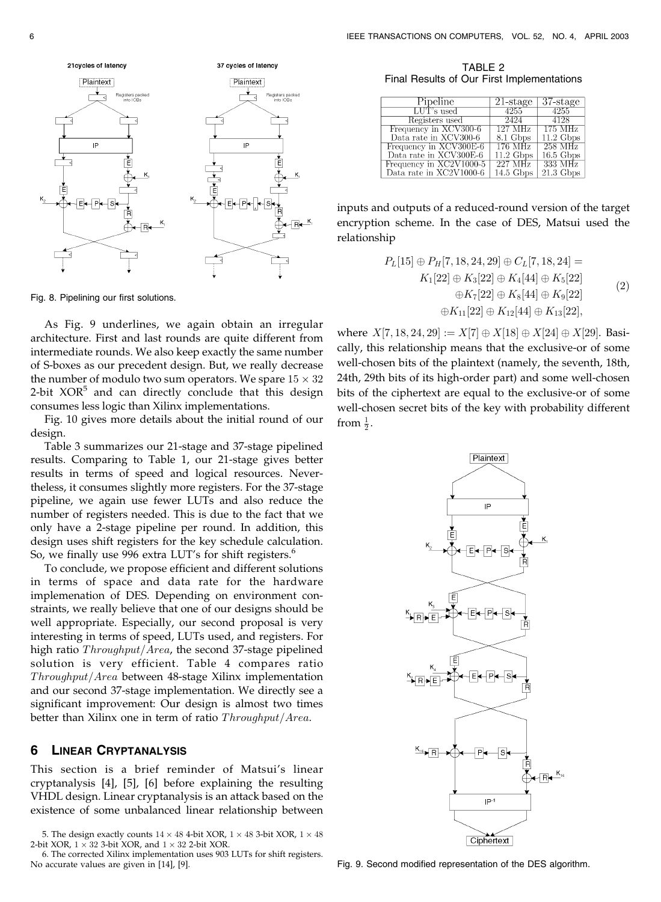

Fig. 8. Pipelining our first solutions.

As Fig. 9 underlines, we again obtain an irregular architecture. First and last rounds are quite different from intermediate rounds. We also keep exactly the same number of S-boxes as our precedent design. But, we really decrease the number of modulo two sum operators. We spare  $15 \times 32$ 2-bit  $XOR<sup>5</sup>$  and can directly conclude that this design consumes less logic than Xilinx implementations.

Fig. 10 gives more details about the initial round of our design.

Table 3 summarizes our 21-stage and 37-stage pipelined results. Comparing to Table 1, our 21-stage gives better results in terms of speed and logical resources. Nevertheless, it consumes slightly more registers. For the 37-stage pipeline, we again use fewer LUTs and also reduce the number of registers needed. This is due to the fact that we only have a 2-stage pipeline per round. In addition, this design uses shift registers for the key schedule calculation. So, we finally use 996 extra LUT's for shift registers.<sup>6</sup>

To conclude, we propose efficient and different solutions in terms of space and data rate for the hardware implemenation of DES. Depending on environment constraints, we really believe that one of our designs should be well appropriate. Especially, our second proposal is very interesting in terms of speed, LUTs used, and registers. For high ratio  $Throughout/Area$ , the second 37-stage pipelined solution is very efficient. Table 4 compares ratio  $Throughput/Area$  between 48-stage Xilinx implementation and our second 37-stage implementation. We directly see a significant improvement: Our design is almost two times better than Xilinx one in term of ratio  $Throughout/Area$ .

### 6 LINEAR CRYPTANALYSIS

This section is a brief reminder of Matsui's linear cryptanalysis [4], [5], [6] before explaining the resulting VHDL design. Linear cryptanalysis is an attack based on the existence of some unbalanced linear relationship between

5. The design exactly counts  $14 \times 48$  4-bit XOR,  $1 \times 48$  3-bit XOR,  $1 \times 48$ 2-bit XOR,  $1 \times 32$  3-bit XOR, and  $1 \times 32$  2-bit XOR.

6. The corrected Xilinx implementation uses 903 LUTs for shift registers. No accurate values are given in [14], [9].

TABLE 2 Final Results of Our First Implementations

| Pipeline                | 21-stage           | 37-stage              |
|-------------------------|--------------------|-----------------------|
| $\rm{LUT}$ 's used      | 4255               | 4255                  |
| Registers used          | 2424               | 4128                  |
| Frequency in XCV300-6   | 127 MHz            | 175 MHz               |
| Data rate in XCV300-6   | 8.1 Gbps           | $11.2\text{ Gbps}$    |
| Frequency in XCV300E-6  | 176 MHz            | 258 MHz               |
| Data rate in XCV300E-6  | $11.2\text{ Gbps}$ | $16.5\,\mathrm{Gbps}$ |
| Frequency in XC2V1000-5 | 227 MHz            | 333 MHz               |
| Data rate in XC2V1000-6 | $14.5\text{ Gbps}$ | $21.3\,\mathrm{Gbps}$ |

inputs and outputs of a reduced-round version of the target encryption scheme. In the case of DES, Matsui used the relationship

$$
P_L[15] \oplus P_H[7, 18, 24, 29] \oplus C_L[7, 18, 24] =
$$
  
\n
$$
K_1[22] \oplus K_3[22] \oplus K_4[44] \oplus K_5[22]
$$
  
\n
$$
\oplus K_7[22] \oplus K_8[44] \oplus K_9[22]
$$
  
\n
$$
\oplus K_{11}[22] \oplus K_{12}[44] \oplus K_{13}[22],
$$
\n(2)

where  $X[7, 18, 24, 29] := X[7] \oplus X[18] \oplus X[24] \oplus X[29]$ . Basically, this relationship means that the exclusive-or of some well-chosen bits of the plaintext (namely, the seventh, 18th, 24th, 29th bits of its high-order part) and some well-chosen bits of the ciphertext are equal to the exclusive-or of some well-chosen secret bits of the key with probability different from  $\frac{1}{2}$ .



Fig. 9. Second modified representation of the DES algorithm.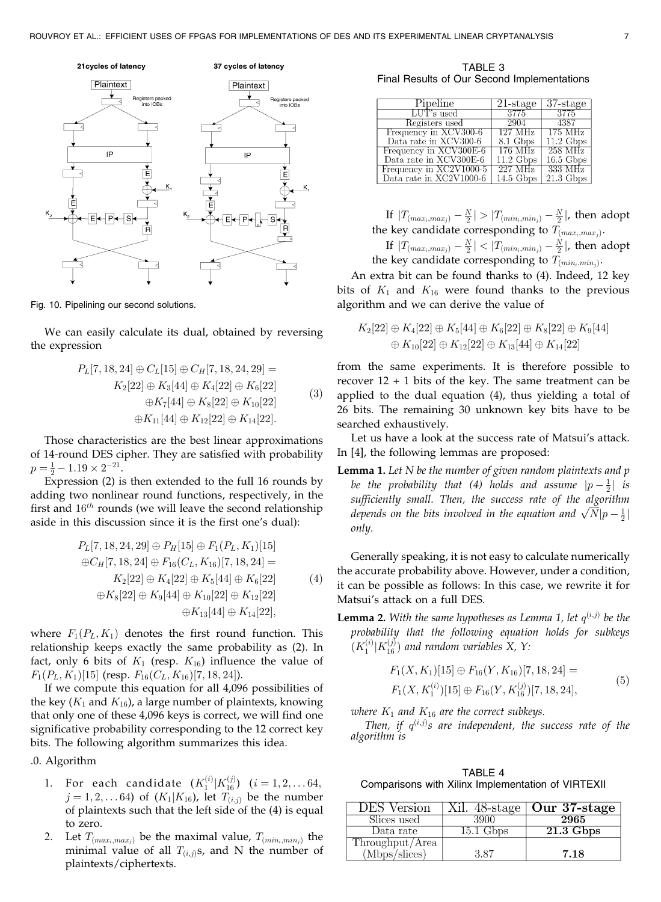

Fig. 10. Pipelining our second solutions.

We can easily calculate its dual, obtained by reversing the expression

$$
P_L[7, 18, 24] \oplus C_L[15] \oplus C_H[7, 18, 24, 29] =
$$
  
\n
$$
K_2[22] \oplus K_3[44] \oplus K_4[22] \oplus K_6[22]
$$
  
\n
$$
\oplus K_7[44] \oplus K_8[22] \oplus K_{10}[22]
$$
  
\n
$$
\oplus K_{11}[44] \oplus K_{12}[22] \oplus K_{14}[22].
$$
\n(3)

Those characteristics are the best linear approximations of 14-round DES cipher. They are satisfied with probability  $p = \frac{1}{2} - 1.19 \times 2^{-21}.$ 

Expression (2) is then extended to the full 16 rounds by adding two nonlinear round functions, respectively, in the first and  $16^{th}$  rounds (we will leave the second relationship aside in this discussion since it is the first one's dual):

$$
P_L[7, 18, 24, 29] \oplus P_H[15] \oplus F_1(P_L, K_1)[15]
$$
  
\n
$$
\oplus C_H[7, 18, 24] \oplus F_{16}(C_L, K_{16})[7, 18, 24] =
$$
  
\n
$$
K_2[22] \oplus K_4[22] \oplus K_5[44] \oplus K_6[22]
$$
  
\n
$$
\oplus K_8[22] \oplus K_9[44] \oplus K_{10}[22] \oplus K_{12}[22]
$$
  
\n
$$
\oplus K_{13}[44] \oplus K_{14}[22],
$$
\n(4)

where  $F_1(P_L, K_1)$  denotes the first round function. This relationship keeps exactly the same probability as (2). In fact, only 6 bits of  $K_1$  (resp.  $K_{16}$ ) influence the value of  $F_1(P_L, K_1)$ [15] (resp.  $F_{16}(C_L, K_{16})$ [7, 18, 24]).

If we compute this equation for all 4,096 possibilities of the key ( $K_1$  and  $K_{16}$ ), a large number of plaintexts, knowing that only one of these 4,096 keys is correct, we will find one significative probability corresponding to the 12 correct key bits. The following algorithm summarizes this idea.

.0. Algorithm

- 1. For each candidate  $(K_1^{(i)}|K_{16}^{(j)})$   $(i = 1, 2, \ldots 64,$  $j = 1, 2, \dots 64$ ) of  $(K_1|K_{16})$ , let  $T_{(i,j)}$  be the number of plaintexts such that the left side of the (4) is equal to zero.
- 2. Let  $T_{(max_i, max_i)}$  be the maximal value,  $T_{(min_i, min_j)}$  the minimal value of all  $T_{(i,j)}$ s, and N the number of plaintexts/ciphertexts.

TABLE 3 Final Results of Our Second Implementations

| Pipeline                | 21-stage            | $37$ -stage           |
|-------------------------|---------------------|-----------------------|
| LUT's used              | -3775               | 3775                  |
| Registers used          | 2904                | 4387                  |
| Frequency in XCV300-6   | 127 MHz             | 175 MHz               |
| Data rate in XCV300-6   | 8.1 Gbps            | $11.2\text{ Gbps}$    |
| Frequency in XCV300E-6  | 176 MHz             | $258\text{ MHz}$      |
| Data rate in XCV300E-6  | $11.2 \text{ Gbps}$ | $16.5\,\mathrm{Gbps}$ |
| Frequency in XC2V1000-5 | 227 MHz             | 333 MHz               |
| Data rate in XC2V1000-6 | $14.5$ Gbps         | $21.3\text{ Gbps}$    |

If  $|T_{(max_i, max_j)} - \frac{N}{2}| > |T_{(min_i, min_j)} - \frac{N}{2}|$ , then adopt the key candidate corresponding to  $T_{(max_i, max_i)}$ .

If  $|T_{(max_i, max_j)} - \frac{N}{2}| < |T_{(min_i, min_j)} - \frac{N}{2}|$ , then adopt the key candidate corresponding to  $T_{(min_i,min_i)}$ .

An extra bit can be found thanks to (4). Indeed, 12 key bits of  $K_1$  and  $K_{16}$  were found thanks to the previous algorithm and we can derive the value of

$$
K_2[22] \oplus K_4[22] \oplus K_5[44] \oplus K_6[22] \oplus K_8[22] \oplus K_9[44]
$$
  

$$
\oplus K_{10}[22] \oplus K_{12}[22] \oplus K_{13}[44] \oplus K_{14}[22]
$$

from the same experiments. It is therefore possible to recover  $12 + 1$  bits of the key. The same treatment can be applied to the dual equation (4), thus yielding a total of 26 bits. The remaining 30 unknown key bits have to be searched exhaustively.

Let us have a look at the success rate of Matsui's attack. In [4], the following lemmas are proposed:

**Lemma 1.** Let  $N$  be the number of given random plaintexts and  $p$ be the probability that (4) holds and assume  $|p-\frac{1}{2}|$  is sufficiently small. Then, the success rate of the algorithm sufficiently small. Then, the success rate of the algorithm<br>depends on the bits involved in the equation and  $\sqrt{N}|p-\frac{1}{2}|$ only.

Generally speaking, it is not easy to calculate numerically the accurate probability above. However, under a condition, it can be possible as follows: In this case, we rewrite it for Matsui's attack on a full DES.

**Lemma 2.** With the same hypotheses as Lemma 1, let  $q^{(i,j)}$  be the probability that the following equation holds for subkeys  $(K_1^{(i)} | K_{16}^{(j)})$  and random variables X, Y:

$$
F_1(X, K_1)[15] \oplus F_{16}(Y, K_{16})[7, 18, 24] =
$$
  
\n
$$
F_1(X, K_1^{(i)})[15] \oplus F_{16}(Y, K_{16}^{(j)})[7, 18, 24],
$$
\n(5)

where  $K_1$  and  $K_{16}$  are the correct subkeys.

Then, if  $q^{(i,j)}s$  are independent, the success rate of the algorithm is

TABLE 4 Comparisons with Xilinx Implementation of VIRTEXII

| DES Version                      |             | Xil. $48$ -stage   Our 37-stage |
|----------------------------------|-------------|---------------------------------|
| Slices used                      | 3900        | 2965                            |
| Data rate                        | $15.1$ Gbps | $21.3$ Gbps                     |
|                                  |             |                                 |
| Throughput/Area<br>(Mbps/slices) | 3.87        | 7.18                            |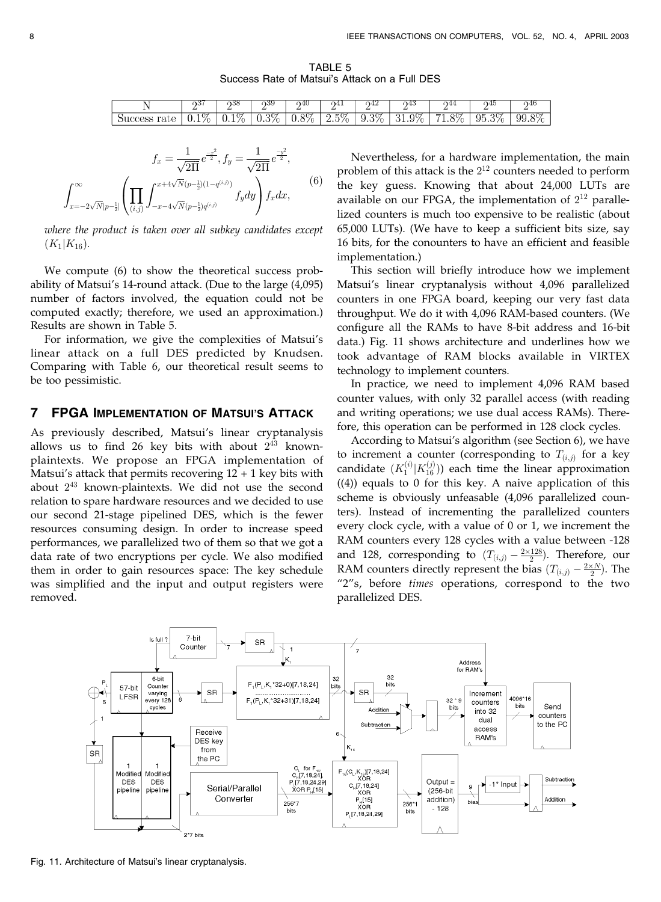TABLE 5 Success Rate of Matsui's Attack on a Full DES

|  | . | .   | - 192 | ച്4∪          | ⊿ר<br>.  | --        |                    | -                     | 74.        | - 24 G                                       |
|--|---|-----|-------|---------------|----------|-----------|--------------------|-----------------------|------------|----------------------------------------------|
|  |   | ∪.⊥ | ,,,,  | .<br>$\cdots$ | <u>.</u> | ৴∙◡<br>л. | . ነር<br>$\sim$ $+$ | $\lambda$<br><b>.</b> | ∩⊧<br>JU.J | QQ<br>эU<br>$\cdot$<br>$\cup\cup\cdot\cup$ , |

$$
f_x = \frac{1}{\sqrt{2\Pi}} e^{\frac{-x^2}{2}}, f_y = \frac{1}{\sqrt{2\Pi}} e^{\frac{-y^2}{2}},
$$

$$
\int_{x=-2\sqrt{N}|p-\frac{1}{2}|}^{x} \left( \prod_{(i,j)} \int_{-x-4\sqrt{N}(p-\frac{1}{2})q^{(i,j)}}^{x+4\sqrt{N}(p-\frac{1}{2})q^{(i,j)}} f_y dy \right) f_x dx,
$$
(6)

where the product is taken over all subkey candidates except  $(K_1|K_{16})$ .

We compute (6) to show the theoretical success probability of Matsui's 14-round attack. (Due to the large (4,095) number of factors involved, the equation could not be computed exactly; therefore, we used an approximation.) Results are shown in Table 5.

For information, we give the complexities of Matsui's linear attack on a full DES predicted by Knudsen. Comparing with Table 6, our theoretical result seems to be too pessimistic.

## 7 FPGA IMPLEMENTATION OF MATSUI'S ATTACK

As previously described, Matsui's linear cryptanalysis allows us to find 26 key bits with about  $2^{43}$  knownplaintexts. We propose an FPGA implementation of Matsui's attack that permits recovering  $12 + 1$  key bits with about  $2^{43}$  known-plaintexts. We did not use the second relation to spare hardware resources and we decided to use our second 21-stage pipelined DES, which is the fewer resources consuming design. In order to increase speed performances, we parallelized two of them so that we got a data rate of two encryptions per cycle. We also modified them in order to gain resources space: The key schedule was simplified and the input and output registers were removed.

Nevertheless, for a hardware implementation, the main problem of this attack is the  $2^{12}$  counters needed to perform the key guess. Knowing that about 24,000 LUTs are available on our FPGA, the implementation of  $2^{12}$  parallelized counters is much too expensive to be realistic (about 65,000 LUTs). (We have to keep a sufficient bits size, say 16 bits, for the conounters to have an efficient and feasible implementation.)

This section will briefly introduce how we implement Matsui's linear cryptanalysis without 4,096 parallelized counters in one FPGA board, keeping our very fast data throughput. We do it with 4,096 RAM-based counters. (We configure all the RAMs to have 8-bit address and 16-bit data.) Fig. 11 shows architecture and underlines how we took advantage of RAM blocks available in VIRTEX technology to implement counters.

In practice, we need to implement 4,096 RAM based counter values, with only 32 parallel access (with reading and writing operations; we use dual access RAMs). Therefore, this operation can be performed in 128 clock cycles.

According to Matsui's algorithm (see Section 6), we have to increment a counter (corresponding to  $T_{(i,j)}$  for a key candidate  $(K_1^{(i)} | K_{16}^{(j)})$  each time the linear approximation ((4)) equals to 0 for this key. A naive application of this scheme is obviously unfeasable (4,096 parallelized counters). Instead of incrementing the parallelized counters every clock cycle, with a value of 0 or 1, we increment the RAM counters every 128 cycles with a value between -128 and 128, corresponding to  $(T_{(i,j)} - \frac{2 \times 128}{2})$ . Therefore, our RAM counters directly represent the bias  $(T_{(i,j)} - \frac{2 \times N}{2})$ . The "2"s, before times operations, correspond to the two parallelized DES.



Fig. 11. Architecture of Matsui's linear cryptanalysis.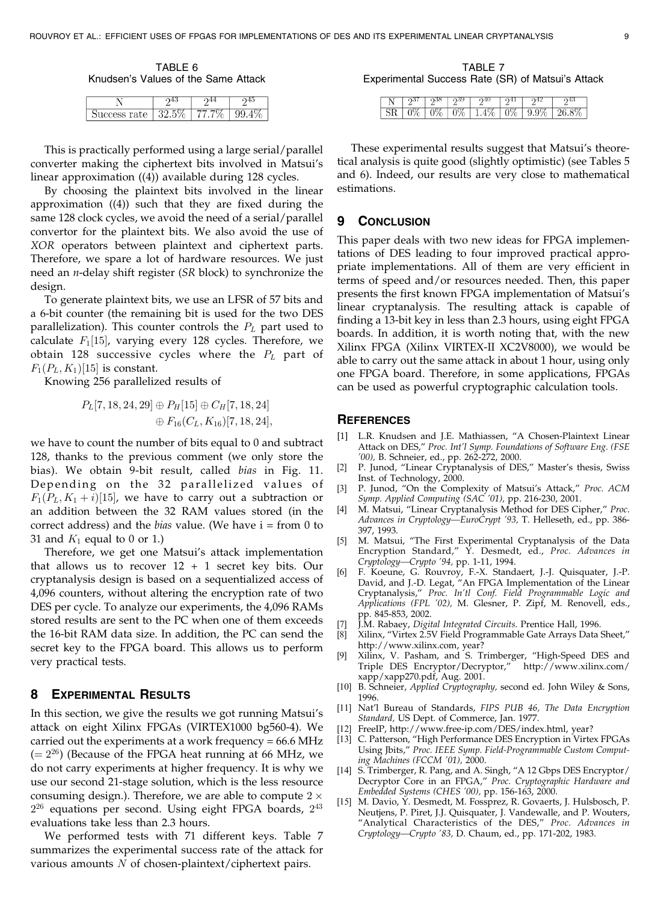TABLE 6 Knudsen's Values of the Same Attack

| rate<br>╰ | ツりに | v | ◡ |  |
|-----------|-----|---|---|--|

This is practically performed using a large serial/parallel converter making the ciphertext bits involved in Matsui's linear approximation ((4)) available during 128 cycles.

By choosing the plaintext bits involved in the linear approximation ((4)) such that they are fixed during the same 128 clock cycles, we avoid the need of a serial/parallel convertor for the plaintext bits. We also avoid the use of XOR operators between plaintext and ciphertext parts. Therefore, we spare a lot of hardware resources. We just need an  $n$ -delay shift register (SR block) to synchronize the design.

To generate plaintext bits, we use an LFSR of 57 bits and a 6-bit counter (the remaining bit is used for the two DES parallelization). This counter controls the  $P_L$  part used to calculate  $F_1[15]$ , varying every 128 cycles. Therefore, we obtain 128 successive cycles where the  $P_L$  part of  $F_1(P_L, K_1)$ [15] is constant.

Knowing 256 parallelized results of

$$
P_{L}[7, 18, 24, 29] \oplus P_{H}[15] \oplus C_{H}[7, 18, 24]
$$
  

$$
\oplus F_{16}(C_{L}, K_{16})[7, 18, 24],
$$

we have to count the number of bits equal to 0 and subtract 128, thanks to the previous comment (we only store the bias). We obtain 9-bit result, called bias in Fig. 11. Depending on the 32 parallelized values of  $F_1(P_L, K_1+i)[15]$ , we have to carry out a subtraction or an addition between the 32 RAM values stored (in the correct address) and the *bias* value. (We have  $i = from 0 to$ 31 and  $K_1$  equal to 0 or 1.)

Therefore, we get one Matsui's attack implementation that allows us to recover  $12 + 1$  secret key bits. Our cryptanalysis design is based on a sequentialized access of 4,096 counters, without altering the encryption rate of two DES per cycle. To analyze our experiments, the 4,096 RAMs stored results are sent to the PC when one of them exceeds the 16-bit RAM data size. In addition, the PC can send the secret key to the FPGA board. This allows us to perform very practical tests.

#### 8 EXPERIMENTAL RESULTS

In this section, we give the results we got running Matsui's attack on eight Xilinx FPGAs (VIRTEX1000 bg560-4). We carried out the experiments at a work frequency = 66.6 MHz  $(= 2^{26})$  (Because of the FPGA heat running at 66 MHz, we do not carry experiments at higher frequency. It is why we use our second 21-stage solution, which is the less resource consuming design.). Therefore, we are able to compute  $2 \times$  $2^{26}$  equations per second. Using eight FPGA boards,  $2^{43}$ evaluations take less than 2.3 hours.

We performed tests with 71 different keys. Table 7 summarizes the experimental success rate of the attack for various amounts  $N$  of chosen-plaintext/ciphertext pairs.

TABLE 7 Experimental Success Rate (SR) of Matsui's Attack

These experimental results suggest that Matsui's theoretical analysis is quite good (slightly optimistic) (see Tables 5 and 6). Indeed, our results are very close to mathematical estimations.

#### 9 CONCLUSION

This paper deals with two new ideas for FPGA implementations of DES leading to four improved practical appropriate implementations. All of them are very efficient in terms of speed and/or resources needed. Then, this paper presents the first known FPGA implementation of Matsui's linear cryptanalysis. The resulting attack is capable of finding a 13-bit key in less than 2.3 hours, using eight FPGA boards. In addition, it is worth noting that, with the new Xilinx FPGA (Xilinx VIRTEX-II XC2V8000), we would be able to carry out the same attack in about 1 hour, using only one FPGA board. Therefore, in some applications, FPGAs can be used as powerful cryptographic calculation tools.

#### **REFERENCES**

- [1] L.R. Knudsen and J.E. Mathiassen, "A Chosen-Plaintext Linear Attack on DES," Proc. Int'l Symp. Foundations of Software Eng. (FSE '00), B. Schneier, ed., pp. 262-272, 2000.
- [2] P. Junod, "Linear Cryptanalysis of DES," Master's thesis, Swiss Inst. of Technology, 2000.
- [3] P. Junod, "On the Complexity of Matsui's Attack," Proc. ACM Symp. Applied Computing (SAC '01), pp. 216-230, 2001.
- [4] M. Matsui, "Linear Cryptanalysis Method for DES Cipher," Proc. Advances in Cryptology-EuroCrypt '93, T. Helleseth, ed., pp. 386-397, 1993.
- [5] M. Matsui, "The First Experimental Cryptanalysis of the Data Encryption Standard," Y. Desmedt, ed., Proc. Advances in Cryptology—Crypto '94, pp. 1-11, 1994.
- [6] F. Koeune, G. Rouvroy, F.-X. Standaert, J.-J. Quisquater, J.-P. David, and J.-D. Legat, "An FPGA Implementation of the Linear Cryptanalysis," Proc. In'tl Conf. Field Programmable Logic and Applications (FPL '02), M. Glesner, P. Zipf, M. Renovell, eds., pp. 845-853, 2002.
- [7] J.M. Rabaey, Digital Integrated Circuits. Prentice Hall, 1996.<br>[8] Xilinx, "Virtex 2.5V Field Programmable Gate Arrays Data
- Xilinx, "Virtex 2.5V Field Programmable Gate Arrays Data Sheet," http://www.xilinx.com, year?
- [9] Xilinx, V. Pasham, and S. Trimberger, "High-Speed DES and Triple DES Encryptor/Decryptor," http://www.xilinx.com/ xapp/xapp270.pdf, Aug. 2001.
- [10] B. Schneier, Applied Cryptography, second ed. John Wiley & Sons, 1996.
- [11] Nat'l Bureau of Standards, FIPS PUB 46, The Data Encryption Standard, US Dept. of Commerce, Jan. 1977.
- [12] FreeIP, http://www.free-ip.com/DES/index.html, year?
- [13] C. Patterson, "High Performance DES Encryption in Virtex FPGAs Using Jbits," Proc. IEEE Symp. Field-Programmable Custom Computing Machines (FCCM '01), 2000.
- [14] S. Trimberger, R. Pang, and A. Singh, "A 12 Gbps DES Encryptor/ Decryptor Core in an FPGA," Proc. Cryptographic Hardware and Embedded Systems (CHES '00), pp. 156-163, 2000.
- M. Davio, Y. Desmedt, M. Fossprez, R. Govaerts, J. Hulsbosch, P. Neutjens, P. Piret, J.J. Quisquater, J. Vandewalle, and P. Wouters, "Analytical Characteristics of the DES," Proc. Advances in Cryptology—Crypto '83, D. Chaum, ed., pp. 171-202, 1983.